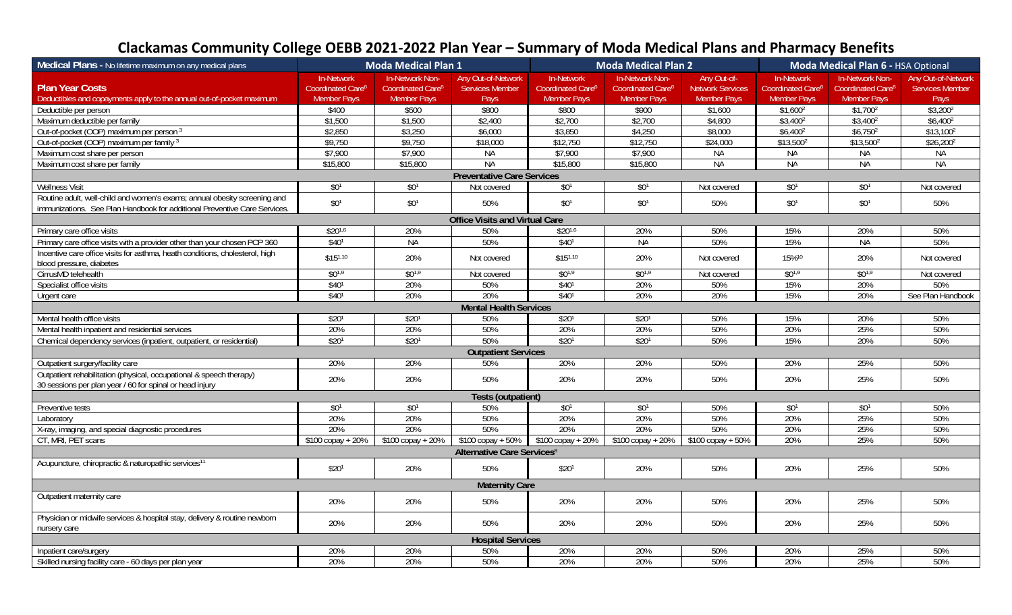## **Clackamas Community College OEBB 2021‐2022 Plan Year – Summary of Moda Medical Plans and Pharmacy Benefits**

| Medical Plans - No lifetime maximum on any medical plans                                                                        |                                             | <b>Moda Medical Plan 1</b>                       |                                              | <b>Moda Medical Plan 2</b>                  |                                                  |                                        | Moda Medical Plan 6 - HSA Optional                 |                                                         |                                              |
|---------------------------------------------------------------------------------------------------------------------------------|---------------------------------------------|--------------------------------------------------|----------------------------------------------|---------------------------------------------|--------------------------------------------------|----------------------------------------|----------------------------------------------------|---------------------------------------------------------|----------------------------------------------|
| <b>Plan Year Costs</b>                                                                                                          | In-Network<br>Coordinated Care <sup>6</sup> | In-Network Non-<br>Coordinated Care <sup>6</sup> | Any Out-of-Network<br><b>Services Member</b> | In-Network<br>Coordinated Care <sup>6</sup> | In-Network Non-<br>Coordinated Care <sup>6</sup> | Any Out-of-<br><b>Network Services</b> | <b>In-Network</b><br>Coordinated Care <sup>6</sup> | <b>In-Network Non-</b><br>Coordinated Care <sup>6</sup> | Any Out-of-Network<br><b>Services Member</b> |
| Deductibles and copayments apply to the annual out-of-pocket maximum                                                            | <b>Member Pays</b>                          | <b>Member Pays</b>                               | Pays                                         | Member Pays                                 | <b>Member Pays</b>                               | Member Pays                            | <b>Member Pays</b>                                 | <b>Member Pays</b>                                      | Pays                                         |
| Deductible per person                                                                                                           | \$400                                       | \$500                                            | \$800                                        | \$800                                       | \$900                                            | \$1,600                                | $$1,600^2$                                         | \$1,700 <sup>2</sup>                                    | $$3,200^2$                                   |
| Maximum deductible per family                                                                                                   | \$1,500                                     | \$1,500                                          | \$2,400                                      | \$2,700                                     | \$2,700                                          | \$4,800                                | $$3,400^2$                                         | $$3,400^2$                                              | $$6,400^2$                                   |
| Out-of-pocket (OOP) maximum per person 3                                                                                        | \$2,850                                     | \$3,250                                          | \$6,000                                      | \$3,850                                     | \$4,250                                          | \$8,000                                | $$6,400^2$                                         | $$6,750^2$                                              | $$13,100^2$                                  |
| Out-of-pocket (OOP) maximum per family 3                                                                                        | \$9,750                                     | \$9,750                                          | \$18,000                                     | \$12,750                                    | \$12,750                                         | \$24,000                               | $$13,500^2$                                        | $$13,500^2$                                             | $$26,200^2$                                  |
| Maximum cost share per person                                                                                                   | \$7,900                                     | \$7,900                                          | <b>NA</b>                                    | \$7,900                                     | \$7,900                                          | <b>NA</b>                              | <b>NA</b>                                          | <b>NA</b>                                               | <b>NA</b>                                    |
| Maximum cost share per family                                                                                                   | \$15,800                                    | \$15,800                                         | <b>NA</b>                                    | \$15,800                                    | \$15,800                                         | <b>NA</b>                              | <b>NA</b>                                          | <b>NA</b>                                               | <b>NA</b>                                    |
|                                                                                                                                 |                                             |                                                  | <b>Preventative Care Services</b>            |                                             |                                                  |                                        |                                                    |                                                         |                                              |
| <b>Wellness Visit</b>                                                                                                           | \$0 <sup>1</sup>                            | \$0 <sup>1</sup>                                 | Not covered                                  | \$0 <sup>1</sup>                            | \$0 <sup>1</sup>                                 | Not covered                            | \$0 <sup>1</sup>                                   | \$0 <sup>1</sup>                                        | Not covered                                  |
| Routine adult, well-child and women's exams; annual obesity screening and                                                       | $$0^1$$                                     | \$0 <sup>1</sup>                                 | 50%                                          | \$0 <sup>1</sup>                            | \$0 <sup>1</sup>                                 | 50%                                    | \$0 <sup>1</sup>                                   | \$0 <sup>1</sup>                                        | 50%                                          |
| immunizations. See Plan Handbook for additional Preventive Care Services.                                                       |                                             |                                                  |                                              |                                             |                                                  |                                        |                                                    |                                                         |                                              |
| <b>Office Visits and Virtual Care</b>                                                                                           |                                             |                                                  |                                              |                                             |                                                  |                                        |                                                    |                                                         |                                              |
| Primary care office visits                                                                                                      | $$20^{1,6}$                                 | 20%                                              | 50%                                          | $$20^{1,6}$                                 | 20%                                              | 50%                                    | 15%                                                | 20%                                                     | 50%                                          |
| Primary care office visits with a provider other than your chosen PCP 360                                                       | \$40 <sup>1</sup>                           | <b>NA</b>                                        | 50%                                          | \$40 <sup>1</sup>                           | <b>NA</b>                                        | 50%                                    | 15%                                                | <b>NA</b>                                               | 50%                                          |
| Incentive care office visits for asthma, heath conditions, cholesterol, high<br>blood pressure, diabetes                        | $$15^{1,10}$                                | 20%                                              | Not covered                                  | \$151,10                                    | 20%                                              | Not covered                            | 15%10                                              | 20%                                                     | Not covered                                  |
| CirrusMD telehealth                                                                                                             | $$0^{1,9}$                                  | $$0^{1,9}$                                       | Not covered                                  | $$0^{1,9}$                                  | $$0^{1,9}$                                       | Not covered                            | $$0^{1,9}$                                         | $$0^{1,9}$                                              | Not covered                                  |
| Specialist office visits                                                                                                        | \$40 <sup>1</sup>                           | 20%                                              | 50%                                          | \$40 <sup>1</sup>                           | 20%                                              | 50%                                    | 15%                                                | 20%                                                     | 50%                                          |
| Urgent care                                                                                                                     | \$40 <sup>1</sup>                           | 20%                                              | 20%                                          | \$40 <sup>1</sup>                           | 20%                                              | 20%                                    | 15%                                                | 20%                                                     | See Plan Handbook                            |
| <b>Mental Health Services</b>                                                                                                   |                                             |                                                  |                                              |                                             |                                                  |                                        |                                                    |                                                         |                                              |
| Mental health office visits                                                                                                     | \$201                                       | \$20 <sup>1</sup>                                | 50%                                          | \$20 <sup>1</sup>                           | \$20 <sup>1</sup>                                | 50%                                    | 15%                                                | 20%                                                     | 50%                                          |
| Mental health inpatient and residential services                                                                                | 20%                                         | 20%                                              | 50%                                          | 20%                                         | 20%                                              | 50%                                    | 20%                                                | 25%                                                     | 50%                                          |
| Chemical dependency services (inpatient, outpatient, or residential)                                                            | \$20 <sup>1</sup>                           | \$20 <sup>1</sup>                                | 50%                                          | \$20 <sup>1</sup>                           | \$20 <sup>1</sup>                                | 50%                                    | 15%                                                | 20%                                                     | 50%                                          |
| <b>Outpatient Services</b>                                                                                                      |                                             |                                                  |                                              |                                             |                                                  |                                        |                                                    |                                                         |                                              |
| Outpatient surgery/facility care                                                                                                | 20%                                         | 20%                                              | 50%                                          | 20%                                         | 20%                                              | 50%                                    | 20%                                                | 25%                                                     | 50%                                          |
| Outpatient rehabilitation (physical, occupational & speech therapy)<br>30 sessions per plan year / 60 for spinal or head injury | 20%                                         | 20%                                              | 50%                                          | 20%                                         | 20%                                              | 50%                                    | 20%                                                | 25%                                                     | 50%                                          |
| <b>Tests (outpatient)</b>                                                                                                       |                                             |                                                  |                                              |                                             |                                                  |                                        |                                                    |                                                         |                                              |
| Preventive tests                                                                                                                | \$0 <sup>1</sup>                            | $$0^1$$                                          | 50%                                          | \$0 <sup>1</sup>                            | \$0 <sup>1</sup>                                 | 50%                                    | \$0 <sup>1</sup>                                   | \$0 <sup>1</sup>                                        | 50%                                          |
| Laboratory                                                                                                                      | 20%                                         | 20%                                              | 50%                                          | 20%                                         | 20%                                              | 50%                                    | 20%                                                | 25%                                                     | 50%                                          |
| X-ray, imaging, and special diagnostic procedures                                                                               | 20%                                         | 20%                                              | 50%                                          | 20%                                         | 20%                                              | 50%                                    | 20%                                                | 25%                                                     | 50%                                          |
| CT, MRI, PET scans                                                                                                              | $$100$ copay + 20%                          | $$100$ copay + 20%                               | $$100$ copay + 50% $$100$ copay + 20%        |                                             | $$100$ copay + 20%                               | $$100$ copay + 50%                     | 20%                                                | 25%                                                     | 50%                                          |
| <b>Alternative Care Services<sup>8</sup></b>                                                                                    |                                             |                                                  |                                              |                                             |                                                  |                                        |                                                    |                                                         |                                              |
| Acupuncture, chiropractic & naturopathic services <sup>11</sup>                                                                 | \$20 <sup>1</sup>                           | 20%                                              | 50%                                          | \$201                                       | 20%                                              | 50%                                    | 20%                                                | 25%                                                     | 50%                                          |
| <b>Maternity Care</b>                                                                                                           |                                             |                                                  |                                              |                                             |                                                  |                                        |                                                    |                                                         |                                              |
| Outpatient maternity care                                                                                                       | 20%                                         | 20%                                              | 50%                                          | 20%                                         | 20%                                              | 50%                                    | 20%                                                | 25%                                                     | 50%                                          |
| Physician or midwife services & hospital stay, delivery & routine newborn<br>nursery care                                       | 20%                                         | 20%                                              | 50%                                          | 20%                                         | 20%                                              | 50%                                    | 20%                                                | 25%                                                     | 50%                                          |
| <b>Hospital Services</b>                                                                                                        |                                             |                                                  |                                              |                                             |                                                  |                                        |                                                    |                                                         |                                              |
| Inpatient care/surgery                                                                                                          | 20%                                         | 20%                                              | 50%                                          | 20%                                         | 20%                                              | 50%                                    | 20%                                                | 25%                                                     | 50%                                          |
| Skilled nursing facility care - 60 days per plan year                                                                           | 20%                                         | 20%                                              | 50%                                          | 20%                                         | 20%                                              | 50%                                    | 20%                                                | 25%                                                     | 50%                                          |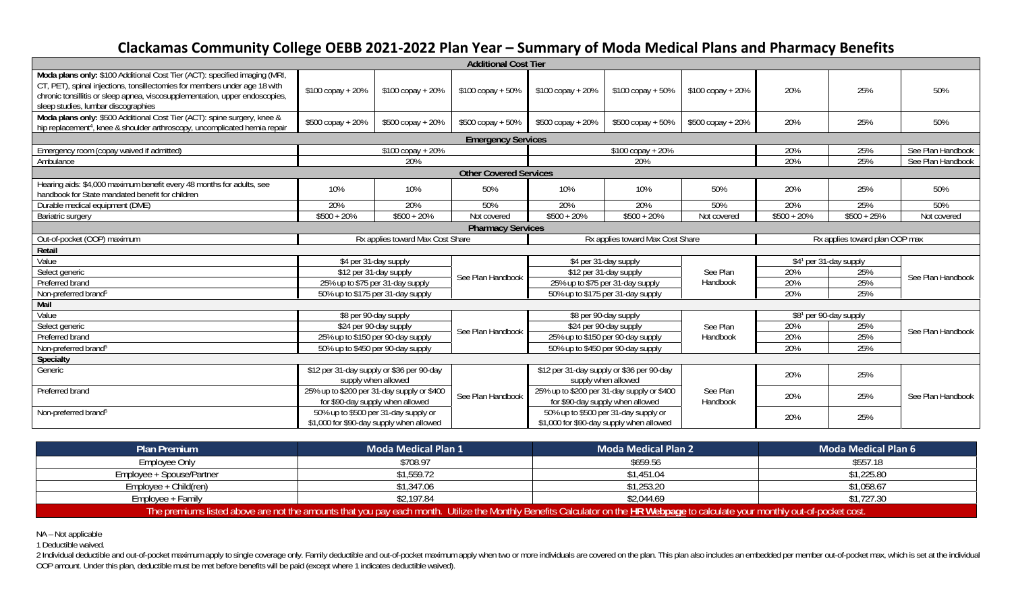## **Clackamas Community College OEBB 2021‐2022 Plan Year – Summary of Moda Medical Plans and Pharmacy Benefits**

| <b>Additional Cost Tier</b>                                                                                                                                                                                                                                                     |                                                                                |                                      |                               |                                                                                      |                                                                                  |                                    |                                      |               |                   |
|---------------------------------------------------------------------------------------------------------------------------------------------------------------------------------------------------------------------------------------------------------------------------------|--------------------------------------------------------------------------------|--------------------------------------|-------------------------------|--------------------------------------------------------------------------------------|----------------------------------------------------------------------------------|------------------------------------|--------------------------------------|---------------|-------------------|
| Moda plans only: \$100 Additional Cost Tier (ACT): specified imaging (MRI,<br>CT, PET), spinal injections, tonsillectomies for members under age 18 with<br>chronic tonsillitis or sleep apnea, viscosupplementation, upper endoscopies,<br>sleep studies, lumbar discographies | \$100 copay + 20%                                                              | \$100 copay + 20%                    | \$100 copay + 50%             | \$100 copay + 20%                                                                    | \$100 copay + 50%                                                                | \$100 copay + 20%                  | 20%                                  | 25%           | 50%               |
| Moda plans only: \$500 Additional Cost Tier (ACT): spine surgery, knee &<br>hip replacement <sup>4</sup> , knee & shoulder arthroscopy, uncomplicated hernia repair                                                                                                             | \$500 copay + 20%                                                              | \$500 copay + 20%                    | \$500 copay + 50%             | \$500 copay + 20%                                                                    | \$500 copay + 50%                                                                | \$500 copay + 20%                  | 20%                                  | 25%           | 50%               |
|                                                                                                                                                                                                                                                                                 |                                                                                |                                      | <b>Emergency Services</b>     |                                                                                      |                                                                                  |                                    |                                      |               |                   |
| Emergency room (copay waived if admitted)                                                                                                                                                                                                                                       |                                                                                | $$100$ copay + 20%                   |                               | $$100$ copay + 20%                                                                   |                                                                                  |                                    | 20%                                  | 25%           | See Plan Handbook |
| Ambulance                                                                                                                                                                                                                                                                       |                                                                                | 20%                                  |                               | 20%                                                                                  |                                                                                  |                                    | 20%                                  | 25%           | See Plan Handbook |
|                                                                                                                                                                                                                                                                                 |                                                                                |                                      | <b>Other Covered Services</b> |                                                                                      |                                                                                  |                                    |                                      |               |                   |
| Hearing aids: \$4,000 maximum benefit every 48 months for adults, see<br>handbook for State mandated benefit for children                                                                                                                                                       | 10%                                                                            | 10%                                  | 50%                           | 10%                                                                                  | 10%                                                                              | 50%                                | 20%                                  | 25%           | 50%               |
| Durable medical equipment (DME)                                                                                                                                                                                                                                                 | 20%                                                                            | 20%                                  | 50%                           | 20%                                                                                  | 20%                                                                              | 50%                                | 20%                                  | 25%           | 50%               |
| <b>Bariatric surgery</b>                                                                                                                                                                                                                                                        | $$500 + 20\%$                                                                  | $$500 + 20\%$                        | Not covered                   | $$500 + 20\%$                                                                        | $$500 + 20\%$                                                                    | Not covered                        | $$500 + 20\%$                        | $$500 + 25\%$ | Not covered       |
| <b>Pharmacy Services</b>                                                                                                                                                                                                                                                        |                                                                                |                                      |                               |                                                                                      |                                                                                  |                                    |                                      |               |                   |
| Out-of-pocket (OOP) maximum                                                                                                                                                                                                                                                     | Rx applies toward Max Cost Share                                               |                                      |                               | Rx applies toward Max Cost Share                                                     |                                                                                  |                                    | Rx applies toward plan OOP max       |               |                   |
| Retail                                                                                                                                                                                                                                                                          |                                                                                |                                      |                               |                                                                                      |                                                                                  |                                    |                                      |               |                   |
| Value                                                                                                                                                                                                                                                                           |                                                                                | \$4 per 31-day supply                | \$4 per 31-day supply         |                                                                                      |                                                                                  |                                    | $\sqrt{$4^1$}$ per 31-day supply     |               |                   |
| Select generic                                                                                                                                                                                                                                                                  | \$12 per 31-day supply<br>25% up to \$75 per 31-day supply                     |                                      | See Plan Handbook             | \$12 per 31-day supply                                                               |                                                                                  | See Plan                           | 20%                                  | 25%           | See Plan Handbook |
| Preferred brand                                                                                                                                                                                                                                                                 |                                                                                |                                      |                               | 25% up to \$75 per 31-day supply                                                     |                                                                                  | Handbook                           | 20%                                  | 25%           |                   |
| Non-preferred brand <sup>5</sup>                                                                                                                                                                                                                                                |                                                                                | 50% up to \$175 per 31-day supply    |                               | 50% up to \$175 per 31-day supply                                                    |                                                                                  |                                    | 20%                                  | 25%           |                   |
| Mail                                                                                                                                                                                                                                                                            |                                                                                |                                      |                               |                                                                                      |                                                                                  |                                    |                                      |               |                   |
| Value                                                                                                                                                                                                                                                                           | \$8 per 90-day supply<br>\$24 per 90-day supply                                |                                      |                               | \$8 per 90-day supply<br>\$24 per 90-day supply<br>25% up to \$150 per 90-day supply |                                                                                  | 20%<br>See Plan<br>20%<br>Handbook | $\overline{\$8^1}$ per 90-day supply |               | See Plan Handbook |
| Select generic                                                                                                                                                                                                                                                                  |                                                                                |                                      | See Plan Handbook             |                                                                                      |                                                                                  |                                    |                                      | 25%           |                   |
| Preferred brand                                                                                                                                                                                                                                                                 |                                                                                | 25% up to \$150 per 90-day supply    |                               |                                                                                      |                                                                                  |                                    |                                      | 25%           |                   |
| Non-preferred brand <sup>5</sup>                                                                                                                                                                                                                                                |                                                                                | 50% up to \$450 per 90-day supply    |                               | 50% up to \$450 per 90-day supply                                                    |                                                                                  |                                    | 20%                                  | 25%           |                   |
| Specialty                                                                                                                                                                                                                                                                       |                                                                                |                                      |                               |                                                                                      |                                                                                  |                                    |                                      |               |                   |
| Generic                                                                                                                                                                                                                                                                         | \$12 per 31-day supply or \$36 per 90-day<br>supply when allowed               |                                      |                               | \$12 per 31-day supply or \$36 per 90-day<br>supply when allowed                     |                                                                                  |                                    | 20%                                  | 25%           |                   |
| Preferred brand                                                                                                                                                                                                                                                                 | 25% up to \$200 per 31-day supply or \$400<br>for \$90-day supply when allowed |                                      | See Plan Handbook             | for \$90-day supply when allowed                                                     | 25% up to \$200 per 31-day supply or \$400                                       | See Plan<br>Handbook               | 20%                                  | 25%           | See Plan Handbook |
| Non-preferred brand <sup>5</sup>                                                                                                                                                                                                                                                | \$1,000 for \$90-day supply when allowed                                       | 50% up to \$500 per 31-day supply or |                               |                                                                                      | 50% up to \$500 per 31-day supply or<br>\$1,000 for \$90-day supply when allowed |                                    | 20%                                  | 25%           |                   |

| <b>Plan Premium</b>                                                                                                                                                            | <b>Moda Medical Plan 1</b> | <b>Moda Medical Plan 2</b> | <b>Moda Medical Plan 6</b> |  |  |  |
|--------------------------------------------------------------------------------------------------------------------------------------------------------------------------------|----------------------------|----------------------------|----------------------------|--|--|--|
| Employee Only                                                                                                                                                                  | \$708.97                   | \$659.56                   | \$557.18                   |  |  |  |
| Employee + Spouse/Partner                                                                                                                                                      | \$1,559.72                 | \$1,451.04                 | \$1,225.80                 |  |  |  |
| $Employee + Child (ren)$                                                                                                                                                       | \$1,347.06                 | \$1.253.20                 | \$1,058.67                 |  |  |  |
| Employee + Family                                                                                                                                                              | \$2,197.84                 | \$2,044.69                 | \$1,727.30                 |  |  |  |
| The premiums listed above are not the amounts that you pay each month. Utilize the Monthly Benefits Calculator on the HR Webpage to calculate your monthly out-of-pocket cost. |                            |                            |                            |  |  |  |

NA – Not applicable

1 Deductible waived.

2 Individual deductible and out-of-pocket maximum apply to single coverage only. Family deductible and out-of-pocket maximum apply when two or more individuals are covered on the plan. This plan also includes an embedded p OOP amount. Under this plan, deductible must be met before benefits will be paid (except where 1 indicates deductible waived).